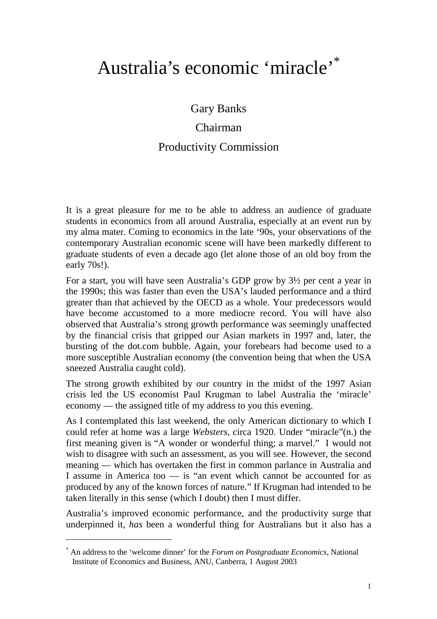# Australia's economic 'miracle'\*

Gary Banks

# Chairman

# Productivity Commission

It is a great pleasure for me to be able to address an audience of graduate students in economics from all around Australia, especially at an event run by my alma mater. Coming to economics in the late '90s, your observations of the contemporary Australian economic scene will have been markedly different to graduate students of even a decade ago (let alone those of an old boy from the early 70s!).

For a start, you will have seen Australia's GDP grow by 3½ per cent a year in the 1990s; this was faster than even the USA's lauded performance and a third greater than that achieved by the OECD as a whole. Your predecessors would have become accustomed to a more mediocre record. You will have also observed that Australia's strong growth performance was seemingly unaffected by the financial crisis that gripped our Asian markets in 1997 and, later, the bursting of the dot.com bubble. Again, your forebears had become used to a more susceptible Australian economy (the convention being that when the USA sneezed Australia caught cold).

The strong growth exhibited by our country in the midst of the 1997 Asian crisis led the US economist Paul Krugman to label Australia the 'miracle' economy — the assigned title of my address to you this evening.

As I contemplated this last weekend, the only American dictionary to which I could refer at home was a large *Websters*, circa 1920. Under "miracle"(n.) the first meaning given is "A wonder or wonderful thing; a marvel." I would not wish to disagree with such an assessment, as you will see. However, the second meaning — which has overtaken the first in common parlance in Australia and I assume in America too — is "an event which cannot be accounted for as produced by any of the known forces of nature." If Krugman had intended to be taken literally in this sense (which I doubt) then I must differ.

Australia's improved economic performance, and the productivity surge that underpinned it, *has* been a wonderful thing for Australians but it also has a

 $\overline{a}$ 

<sup>\*</sup> An address to the 'welcome dinner' for the *Forum on Postgraduate Economics*, National Institute of Economics and Business, ANU, Canberra, 1 August 2003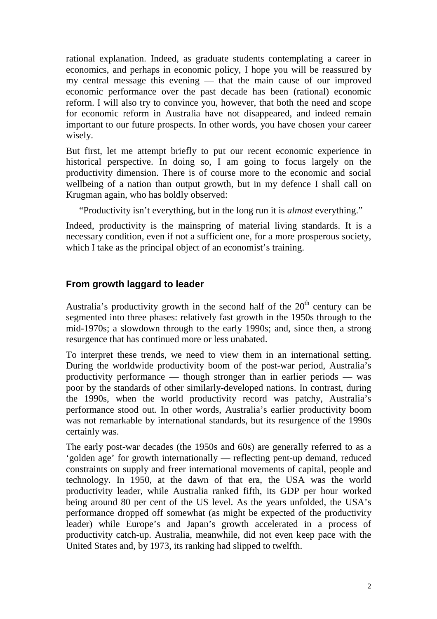rational explanation. Indeed, as graduate students contemplating a career in economics, and perhaps in economic policy, I hope you will be reassured by my central message this evening — that the main cause of our improved economic performance over the past decade has been (rational) economic reform. I will also try to convince you, however, that both the need and scope for economic reform in Australia have not disappeared, and indeed remain important to our future prospects. In other words, you have chosen your career wisely.

But first, let me attempt briefly to put our recent economic experience in historical perspective. In doing so, I am going to focus largely on the productivity dimension. There is of course more to the economic and social wellbeing of a nation than output growth, but in my defence I shall call on Krugman again, who has boldly observed:

"Productivity isn't everything, but in the long run it is *almost* everything."

Indeed, productivity is the mainspring of material living standards. It is a necessary condition, even if not a sufficient one, for a more prosperous society, which I take as the principal object of an economist's training.

#### **From growth laggard to leader**

Australia's productivity growth in the second half of the  $20<sup>th</sup>$  century can be segmented into three phases: relatively fast growth in the 1950s through to the mid-1970s; a slowdown through to the early 1990s; and, since then, a strong resurgence that has continued more or less unabated.

To interpret these trends, we need to view them in an international setting. During the worldwide productivity boom of the post-war period, Australia's productivity performance — though stronger than in earlier periods — was poor by the standards of other similarly-developed nations. In contrast, during the 1990s, when the world productivity record was patchy, Australia's performance stood out. In other words, Australia's earlier productivity boom was not remarkable by international standards, but its resurgence of the 1990s certainly was.

The early post-war decades (the 1950s and 60s) are generally referred to as a 'golden age' for growth internationally — reflecting pent-up demand, reduced constraints on supply and freer international movements of capital, people and technology. In 1950, at the dawn of that era, the USA was the world productivity leader, while Australia ranked fifth, its GDP per hour worked being around 80 per cent of the US level. As the years unfolded, the USA's performance dropped off somewhat (as might be expected of the productivity leader) while Europe's and Japan's growth accelerated in a process of productivity catch-up. Australia, meanwhile, did not even keep pace with the United States and, by 1973, its ranking had slipped to twelfth.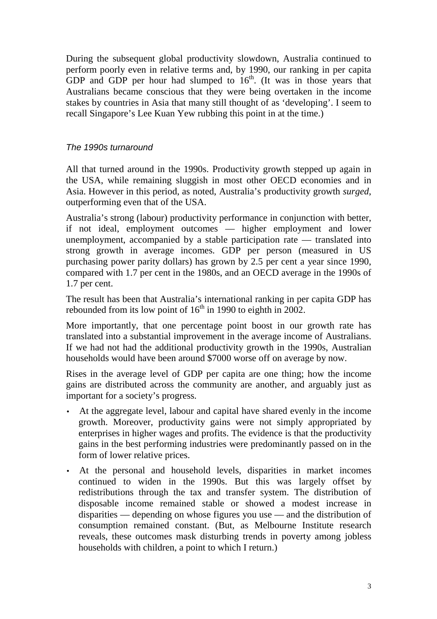During the subsequent global productivity slowdown, Australia continued to perform poorly even in relative terms and, by 1990, our ranking in per capita GDP and GDP per hour had slumped to  $16<sup>th</sup>$ . (It was in those years that Australians became conscious that they were being overtaken in the income stakes by countries in Asia that many still thought of as 'developing'. I seem to recall Singapore's Lee Kuan Yew rubbing this point in at the time.)

#### *The 1990s turnaround*

All that turned around in the 1990s. Productivity growth stepped up again in the USA, while remaining sluggish in most other OECD economies and in Asia. However in this period, as noted, Australia's productivity growth *surged*, outperforming even that of the USA.

Australia's strong (labour) productivity performance in conjunction with better, if not ideal, employment outcomes — higher employment and lower unemployment, accompanied by a stable participation rate — translated into strong growth in average incomes. GDP per person (measured in US purchasing power parity dollars) has grown by 2.5 per cent a year since 1990, compared with 1.7 per cent in the 1980s, and an OECD average in the 1990s of 1.7 per cent.

The result has been that Australia's international ranking in per capita GDP has rebounded from its low point of  $16<sup>th</sup>$  in 1990 to eighth in 2002.

More importantly, that one percentage point boost in our growth rate has translated into a substantial improvement in the average income of Australians. If we had not had the additional productivity growth in the 1990s, Australian households would have been around \$7000 worse off on average by now.

Rises in the average level of GDP per capita are one thing; how the income gains are distributed across the community are another, and arguably just as important for a society's progress.

- At the aggregate level, labour and capital have shared evenly in the income growth. Moreover, productivity gains were not simply appropriated by enterprises in higher wages and profits. The evidence is that the productivity gains in the best performing industries were predominantly passed on in the form of lower relative prices.
- At the personal and household levels, disparities in market incomes continued to widen in the 1990s. But this was largely offset by redistributions through the tax and transfer system. The distribution of disposable income remained stable or showed a modest increase in disparities — depending on whose figures you use — and the distribution of consumption remained constant. (But, as Melbourne Institute research reveals, these outcomes mask disturbing trends in poverty among jobless households with children, a point to which I return.)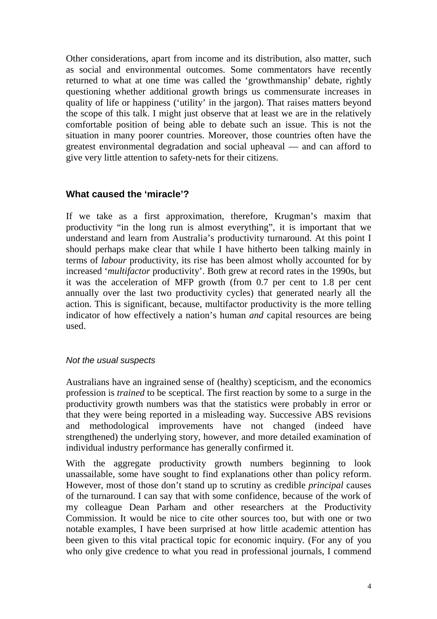Other considerations, apart from income and its distribution, also matter, such as social and environmental outcomes. Some commentators have recently returned to what at one time was called the 'growthmanship' debate, rightly questioning whether additional growth brings us commensurate increases in quality of life or happiness ('utility' in the jargon). That raises matters beyond the scope of this talk. I might just observe that at least we are in the relatively comfortable position of being able to debate such an issue. This is not the situation in many poorer countries. Moreover, those countries often have the greatest environmental degradation and social upheaval — and can afford to give very little attention to safety-nets for their citizens.

#### **What caused the 'miracle'?**

If we take as a first approximation, therefore, Krugman's maxim that productivity "in the long run is almost everything", it is important that we understand and learn from Australia's productivity turnaround. At this point I should perhaps make clear that while I have hitherto been talking mainly in terms of *labour* productivity, its rise has been almost wholly accounted for by increased '*multifactor* productivity'. Both grew at record rates in the 1990s, but it was the acceleration of MFP growth (from 0.7 per cent to 1.8 per cent annually over the last two productivity cycles) that generated nearly all the action. This is significant, because, multifactor productivity is the more telling indicator of how effectively a nation's human *and* capital resources are being used.

#### *Not the usual suspects*

Australians have an ingrained sense of (healthy) scepticism, and the economics profession is *trained* to be sceptical. The first reaction by some to a surge in the productivity growth numbers was that the statistics were probably in error or that they were being reported in a misleading way. Successive ABS revisions and methodological improvements have not changed (indeed have strengthened) the underlying story, however, and more detailed examination of individual industry performance has generally confirmed it.

With the aggregate productivity growth numbers beginning to look unassailable, some have sought to find explanations other than policy reform. However, most of those don't stand up to scrutiny as credible *principal* causes of the turnaround. I can say that with some confidence, because of the work of my colleague Dean Parham and other researchers at the Productivity Commission. It would be nice to cite other sources too, but with one or two notable examples, I have been surprised at how little academic attention has been given to this vital practical topic for economic inquiry. (For any of you who only give credence to what you read in professional journals, I commend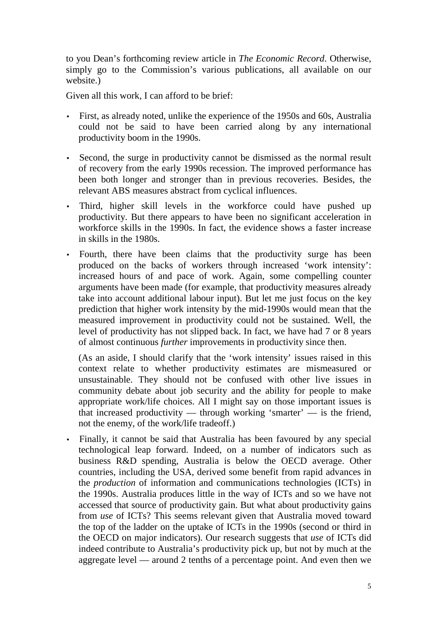to you Dean's forthcoming review article in *The Economic Record*. Otherwise, simply go to the Commission's various publications, all available on our website.)

Given all this work, I can afford to be brief:

- First, as already noted, unlike the experience of the 1950s and 60s, Australia could not be said to have been carried along by any international productivity boom in the 1990s.
- Second, the surge in productivity cannot be dismissed as the normal result of recovery from the early 1990s recession. The improved performance has been both longer and stronger than in previous recoveries. Besides, the relevant ABS measures abstract from cyclical influences.
- Third, higher skill levels in the workforce could have pushed up productivity. But there appears to have been no significant acceleration in workforce skills in the 1990s. In fact, the evidence shows a faster increase in skills in the 1980s.
- Fourth, there have been claims that the productivity surge has been produced on the backs of workers through increased 'work intensity': increased hours of and pace of work. Again, some compelling counter arguments have been made (for example, that productivity measures already take into account additional labour input). But let me just focus on the key prediction that higher work intensity by the mid-1990s would mean that the measured improvement in productivity could not be sustained. Well, the level of productivity has not slipped back. In fact, we have had 7 or 8 years of almost continuous *further* improvements in productivity since then.

(As an aside, I should clarify that the 'work intensity' issues raised in this context relate to whether productivity estimates are mismeasured or unsustainable. They should not be confused with other live issues in community debate about job security and the ability for people to make appropriate work/life choices. All I might say on those important issues is that increased productivity — through working 'smarter' — is the friend, not the enemy, of the work/life tradeoff.)

• Finally, it cannot be said that Australia has been favoured by any special technological leap forward. Indeed, on a number of indicators such as business R&D spending, Australia is below the OECD average. Other countries, including the USA, derived some benefit from rapid advances in the *production* of information and communications technologies (ICTs) in the 1990s. Australia produces little in the way of ICTs and so we have not accessed that source of productivity gain. But what about productivity gains from *use* of ICTs? This seems relevant given that Australia moved toward the top of the ladder on the uptake of ICTs in the 1990s (second or third in the OECD on major indicators). Our research suggests that *use* of ICTs did indeed contribute to Australia's productivity pick up, but not by much at the aggregate level — around 2 tenths of a percentage point. And even then we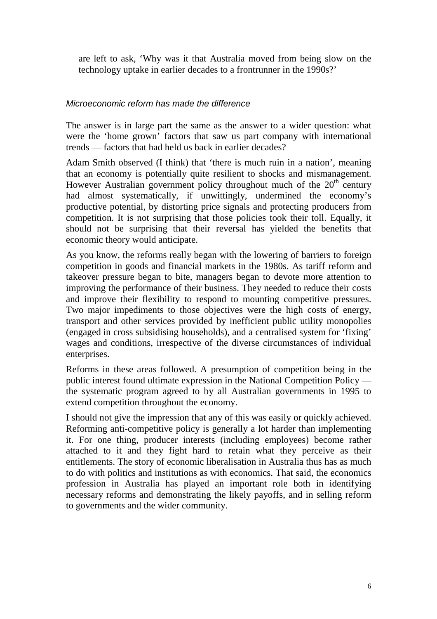are left to ask, 'Why was it that Australia moved from being slow on the technology uptake in earlier decades to a frontrunner in the 1990s?'

#### *Microeconomic reform has made the difference*

The answer is in large part the same as the answer to a wider question: what were the 'home grown' factors that saw us part company with international trends — factors that had held us back in earlier decades?

Adam Smith observed (I think) that 'there is much ruin in a nation', meaning that an economy is potentially quite resilient to shocks and mismanagement. However Australian government policy throughout much of the  $20<sup>th</sup>$  century had almost systematically, if unwittingly, undermined the economy's productive potential, by distorting price signals and protecting producers from competition. It is not surprising that those policies took their toll. Equally, it should not be surprising that their reversal has yielded the benefits that economic theory would anticipate.

As you know, the reforms really began with the lowering of barriers to foreign competition in goods and financial markets in the 1980s. As tariff reform and takeover pressure began to bite, managers began to devote more attention to improving the performance of their business. They needed to reduce their costs and improve their flexibility to respond to mounting competitive pressures. Two major impediments to those objectives were the high costs of energy, transport and other services provided by inefficient public utility monopolies (engaged in cross subsidising households), and a centralised system for 'fixing' wages and conditions, irrespective of the diverse circumstances of individual enterprises.

Reforms in these areas followed. A presumption of competition being in the public interest found ultimate expression in the National Competition Policy the systematic program agreed to by all Australian governments in 1995 to extend competition throughout the economy.

I should not give the impression that any of this was easily or quickly achieved. Reforming anti-competitive policy is generally a lot harder than implementing it. For one thing, producer interests (including employees) become rather attached to it and they fight hard to retain what they perceive as their entitlements. The story of economic liberalisation in Australia thus has as much to do with politics and institutions as with economics. That said, the economics profession in Australia has played an important role both in identifying necessary reforms and demonstrating the likely payoffs, and in selling reform to governments and the wider community.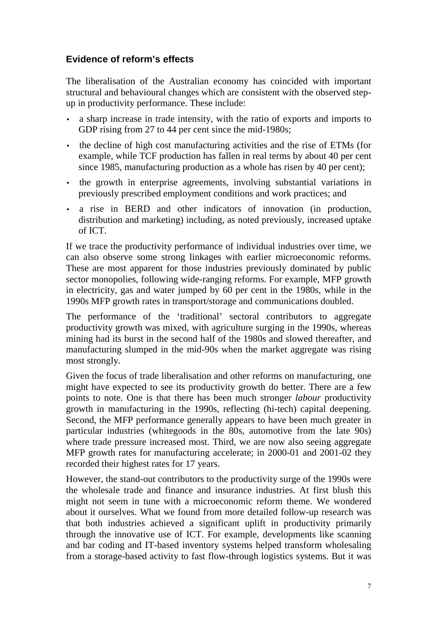## **Evidence of reform's effects**

The liberalisation of the Australian economy has coincided with important structural and behavioural changes which are consistent with the observed stepup in productivity performance. These include:

- a sharp increase in trade intensity, with the ratio of exports and imports to GDP rising from 27 to 44 per cent since the mid-1980s;
- the decline of high cost manufacturing activities and the rise of ETMs (for example, while TCF production has fallen in real terms by about 40 per cent since 1985, manufacturing production as a whole has risen by 40 per cent);
- the growth in enterprise agreements, involving substantial variations in previously prescribed employment conditions and work practices; and
- a rise in BERD and other indicators of innovation (in production, distribution and marketing) including, as noted previously, increased uptake of ICT.

If we trace the productivity performance of individual industries over time, we can also observe some strong linkages with earlier microeconomic reforms. These are most apparent for those industries previously dominated by public sector monopolies, following wide-ranging reforms. For example, MFP growth in electricity, gas and water jumped by 60 per cent in the 1980s, while in the 1990s MFP growth rates in transport/storage and communications doubled.

The performance of the 'traditional' sectoral contributors to aggregate productivity growth was mixed, with agriculture surging in the 1990s, whereas mining had its burst in the second half of the 1980s and slowed thereafter, and manufacturing slumped in the mid-90s when the market aggregate was rising most strongly.

Given the focus of trade liberalisation and other reforms on manufacturing, one might have expected to see its productivity growth do better. There are a few points to note. One is that there has been much stronger *labour* productivity growth in manufacturing in the 1990s, reflecting (hi-tech) capital deepening. Second, the MFP performance generally appears to have been much greater in particular industries (whitegoods in the 80s, automotive from the late 90s) where trade pressure increased most. Third, we are now also seeing aggregate MFP growth rates for manufacturing accelerate; in 2000-01 and 2001-02 they recorded their highest rates for 17 years.

However, the stand-out contributors to the productivity surge of the 1990s were the wholesale trade and finance and insurance industries. At first blush this might not seem in tune with a microeconomic reform theme. We wondered about it ourselves. What we found from more detailed follow-up research was that both industries achieved a significant uplift in productivity primarily through the innovative use of ICT. For example, developments like scanning and bar coding and IT-based inventory systems helped transform wholesaling from a storage-based activity to fast flow-through logistics systems. But it was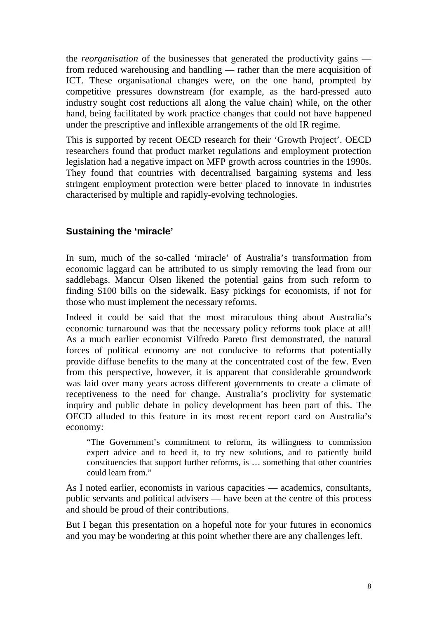the *reorganisation* of the businesses that generated the productivity gains from reduced warehousing and handling — rather than the mere acquisition of ICT. These organisational changes were, on the one hand, prompted by competitive pressures downstream (for example, as the hard-pressed auto industry sought cost reductions all along the value chain) while, on the other hand, being facilitated by work practice changes that could not have happened under the prescriptive and inflexible arrangements of the old IR regime.

This is supported by recent OECD research for their 'Growth Project'. OECD researchers found that product market regulations and employment protection legislation had a negative impact on MFP growth across countries in the 1990s. They found that countries with decentralised bargaining systems and less stringent employment protection were better placed to innovate in industries characterised by multiple and rapidly-evolving technologies.

## **Sustaining the 'miracle'**

In sum, much of the so-called 'miracle' of Australia's transformation from economic laggard can be attributed to us simply removing the lead from our saddlebags. Mancur Olsen likened the potential gains from such reform to finding \$100 bills on the sidewalk. Easy pickings for economists, if not for those who must implement the necessary reforms.

Indeed it could be said that the most miraculous thing about Australia's economic turnaround was that the necessary policy reforms took place at all! As a much earlier economist Vilfredo Pareto first demonstrated, the natural forces of political economy are not conducive to reforms that potentially provide diffuse benefits to the many at the concentrated cost of the few. Even from this perspective, however, it is apparent that considerable groundwork was laid over many years across different governments to create a climate of receptiveness to the need for change. Australia's proclivity for systematic inquiry and public debate in policy development has been part of this. The OECD alluded to this feature in its most recent report card on Australia's economy:

"The Government's commitment to reform, its willingness to commission expert advice and to heed it, to try new solutions, and to patiently build constituencies that support further reforms, is … something that other countries could learn from."

As I noted earlier, economists in various capacities — academics, consultants, public servants and political advisers — have been at the centre of this process and should be proud of their contributions.

But I began this presentation on a hopeful note for your futures in economics and you may be wondering at this point whether there are any challenges left.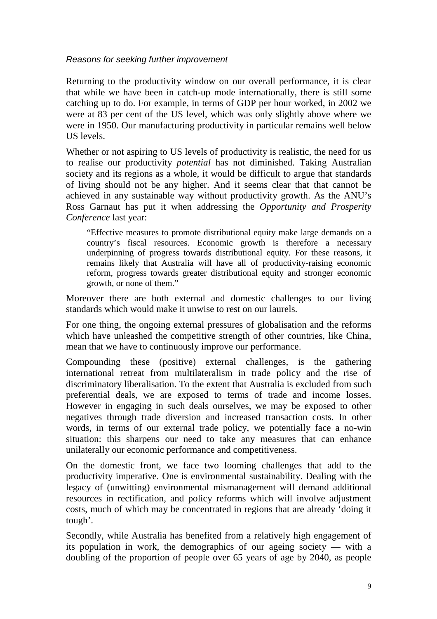*Reasons for seeking further improvement*

Returning to the productivity window on our overall performance, it is clear that while we have been in catch-up mode internationally, there is still some catching up to do. For example, in terms of GDP per hour worked, in 2002 we were at 83 per cent of the US level, which was only slightly above where we were in 1950. Our manufacturing productivity in particular remains well below US levels.

Whether or not aspiring to US levels of productivity is realistic, the need for us to realise our productivity *potential* has not diminished. Taking Australian society and its regions as a whole, it would be difficult to argue that standards of living should not be any higher. And it seems clear that that cannot be achieved in any sustainable way without productivity growth. As the ANU's Ross Garnaut has put it when addressing the *Opportunity and Prosperity Conference* last year:

"Effective measures to promote distributional equity make large demands on a country's fiscal resources. Economic growth is therefore a necessary underpinning of progress towards distributional equity. For these reasons, it remains likely that Australia will have all of productivity-raising economic reform, progress towards greater distributional equity and stronger economic growth, or none of them."

Moreover there are both external and domestic challenges to our living standards which would make it unwise to rest on our laurels.

For one thing, the ongoing external pressures of globalisation and the reforms which have unleashed the competitive strength of other countries, like China, mean that we have to continuously improve our performance.

Compounding these (positive) external challenges, is the gathering international retreat from multilateralism in trade policy and the rise of discriminatory liberalisation. To the extent that Australia is excluded from such preferential deals, we are exposed to terms of trade and income losses. However in engaging in such deals ourselves, we may be exposed to other negatives through trade diversion and increased transaction costs. In other words, in terms of our external trade policy, we potentially face a no-win situation: this sharpens our need to take any measures that can enhance unilaterally our economic performance and competitiveness.

On the domestic front, we face two looming challenges that add to the productivity imperative. One is environmental sustainability. Dealing with the legacy of (unwitting) environmental mismanagement will demand additional resources in rectification, and policy reforms which will involve adjustment costs, much of which may be concentrated in regions that are already 'doing it tough'.

Secondly, while Australia has benefited from a relatively high engagement of its population in work, the demographics of our ageing society — with a doubling of the proportion of people over 65 years of age by 2040, as people